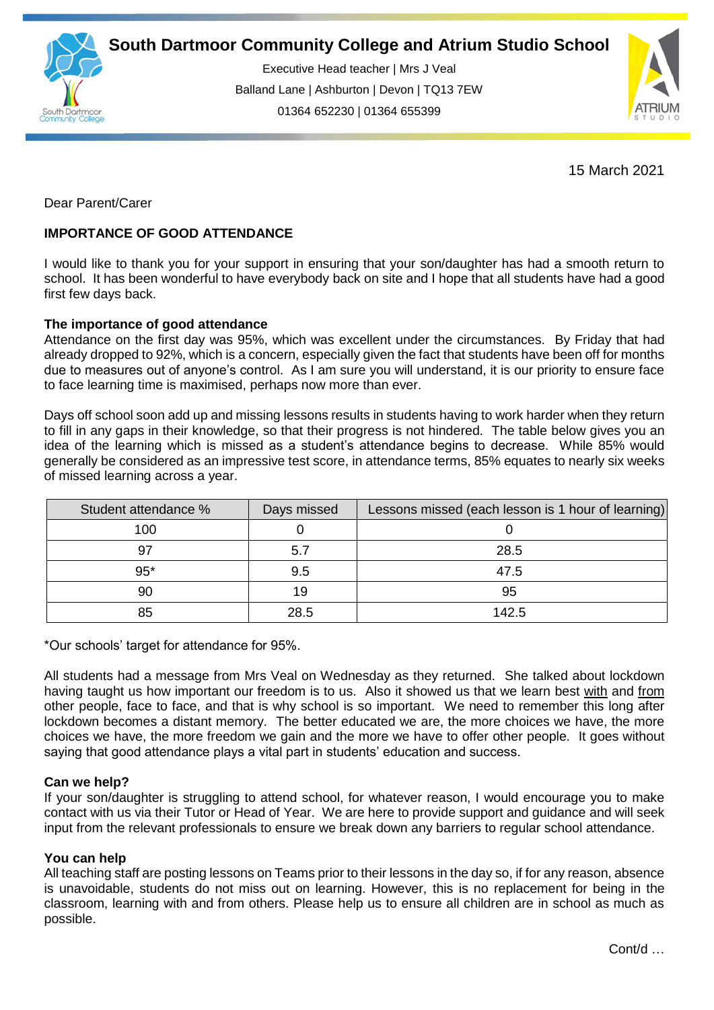

Executive Head teacher | Mrs J Veal Balland Lane | Ashburton | Devon | TQ13 7EW 01364 652230 | 01364 655399

ww.south.co.uk | [www.atrium-studio.co.uk](http://www.atrium-studio.co.uk/) | www.atrium-studio.co.uk



15 March 2021

Dear Parent/Carer

# **IMPORTANCE OF GOOD ATTENDANCE**

I would like to thank you for your support in ensuring that your son/daughter has had a smooth return to school. It has been wonderful to have everybody back on site and I hope that all students have had a good first few days back.

## **The importance of good attendance**

Attendance on the first day was 95%, which was excellent under the circumstances. By Friday that had already dropped to 92%, which is a concern, especially given the fact that students have been off for months due to measures out of anyone's control. As I am sure you will understand, it is our priority to ensure face to face learning time is maximised, perhaps now more than ever.

Days off school soon add up and missing lessons results in students having to work harder when they return to fill in any gaps in their knowledge, so that their progress is not hindered. The table below gives you an idea of the learning which is missed as a student's attendance begins to decrease. While 85% would generally be considered as an impressive test score, in attendance terms, 85% equates to nearly six weeks of missed learning across a year.

| Student attendance % | Days missed | Lessons missed (each lesson is 1 hour of learning) |
|----------------------|-------------|----------------------------------------------------|
| 100                  |             |                                                    |
| 97                   | 5.7         | 28.5                                               |
| $95*$                | 9.5         | 47.5                                               |
| 90                   | 19          | 95                                                 |
| 85                   | 28.5        | 142.5                                              |

\*Our schools' target for attendance for 95%.

All students had a message from Mrs Veal on Wednesday as they returned. She talked about lockdown having taught us how important our freedom is to us. Also it showed us that we learn best with and from other people, face to face, and that is why school is so important. We need to remember this long after lockdown becomes a distant memory. The better educated we are, the more choices we have, the more choices we have, the more freedom we gain and the more we have to offer other people. It goes without saying that good attendance plays a vital part in students' education and success.

### **Can we help?**

If your son/daughter is struggling to attend school, for whatever reason, I would encourage you to make contact with us via their Tutor or Head of Year. We are here to provide support and guidance and will seek input from the relevant professionals to ensure we break down any barriers to regular school attendance.

### **You can help**

All teaching staff are posting lessons on Teams prior to their lessons in the day so, if for any reason, absence is unavoidable, students do not miss out on learning. However, this is no replacement for being in the classroom, learning with and from others. Please help us to ensure all children are in school as much as possible.